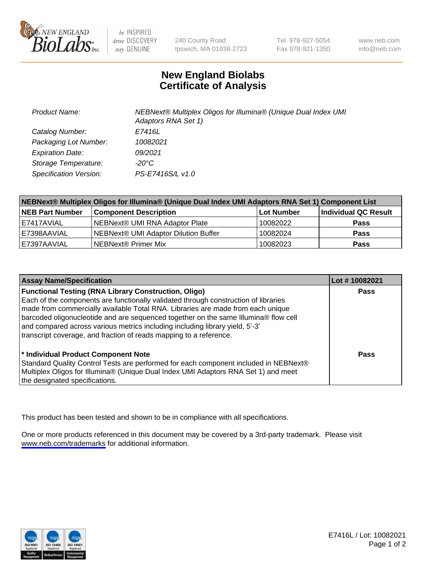

be INSPIRED drive DISCOVERY stay GENUINE

240 County Road Ipswich, MA 01938-2723 Tel 978-927-5054 Fax 978-921-1350

www.neb.com info@neb.com

## **New England Biolabs Certificate of Analysis**

| <b>Product Name:</b>    | NEBNext® Multiplex Oligos for Illumina® (Unique Dual Index UMI<br>Adaptors RNA Set 1) |
|-------------------------|---------------------------------------------------------------------------------------|
| Catalog Number:         | E7416L                                                                                |
| Packaging Lot Number:   | 10082021                                                                              |
| <b>Expiration Date:</b> | 09/2021                                                                               |
| Storage Temperature:    | $-20^{\circ}$ C                                                                       |
| Specification Version:  | PS-E7416S/L v1.0                                                                      |

| NEBNext® Multiplex Oligos for Illumina® (Unique Dual Index UMI Adaptors RNA Set 1) Component List |                                      |            |                      |  |
|---------------------------------------------------------------------------------------------------|--------------------------------------|------------|----------------------|--|
| <b>NEB Part Number</b>                                                                            | <b>Component Description</b>         | Lot Number | Individual QC Result |  |
| I E7417AVIAL                                                                                      | NEBNext® UMI RNA Adaptor Plate       | 10082022   | <b>Pass</b>          |  |
| E7398AAVIAL                                                                                       | NEBNext® UMI Adaptor Dilution Buffer | 10082024   | <b>Pass</b>          |  |
| E7397AAVIAL                                                                                       | NEBNext® Primer Mix                  | 10082023   | <b>Pass</b>          |  |

| <b>Assay Name/Specification</b>                                                                                                                                                                                                                                                                                                                                                                                                                                                    | Lot #10082021 |
|------------------------------------------------------------------------------------------------------------------------------------------------------------------------------------------------------------------------------------------------------------------------------------------------------------------------------------------------------------------------------------------------------------------------------------------------------------------------------------|---------------|
| <b>Functional Testing (RNA Library Construction, Oligo)</b><br>Each of the components are functionally validated through construction of libraries<br>made from commercially available Total RNA. Libraries are made from each unique<br>barcoded oligonucleotide and are sequenced together on the same Illumina® flow cell<br>and compared across various metrics including including library yield, 5'-3'<br>transcript coverage, and fraction of reads mapping to a reference. | <b>Pass</b>   |
| * Individual Product Component Note<br>Standard Quality Control Tests are performed for each component included in NEBNext®<br>Multiplex Oligos for Illumina® (Unique Dual Index UMI Adaptors RNA Set 1) and meet<br>the designated specifications.                                                                                                                                                                                                                                | Pass          |

This product has been tested and shown to be in compliance with all specifications.

One or more products referenced in this document may be covered by a 3rd-party trademark. Please visit <www.neb.com/trademarks>for additional information.